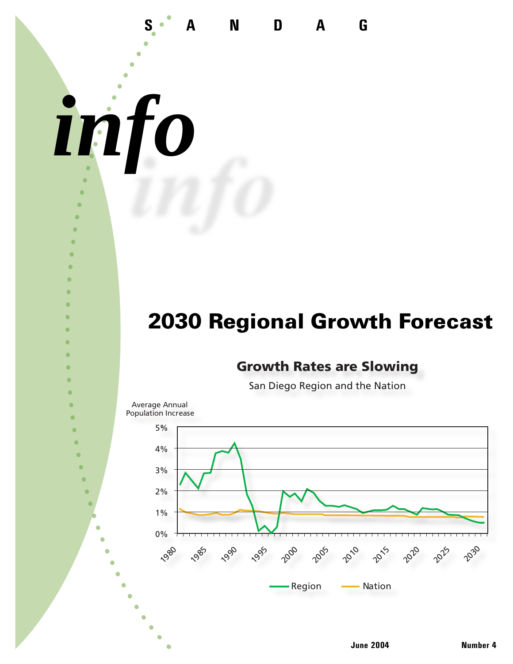# *info*

## 2030 Regional Growth Forecast

SAND AG

### **Growth Rates are Slowing**

San Diego Region and the Nation

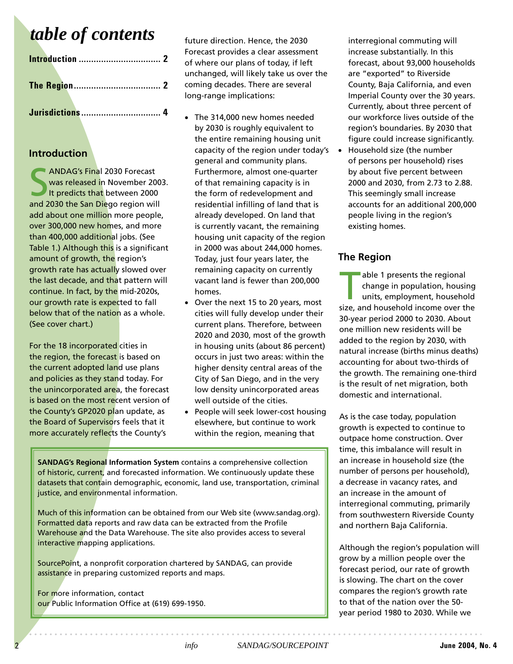## *table of contents*

#### **Introduction**

**SANDAG's Final 2030 Forecast**<br>
Was released in November 200<br>
It predicts that between 2000<br>
and 2030 the San Diego region will ANDAG's Final 2030 Forecast was released in November 2003. It predicts that between 2000 add about one million more people, over 300,000 new homes, and more than 400,000 additional jobs. (See Table 1.) Although this is a significant amount of growth, the region's growth rate has actually slowed over the last decade, and that pattern will continue. In fact, by the mid-2020s, our growth rate is expected to fall below that of the nation as a whole. (See cover chart.)

For the 18 incorporated cities in the region, the forecast is based on the current adopted land use plans and policies as they stand today. For the unincorporated area, the forecast is based on the most recent version of the County's GP2020 plan update, as the Board of Supervisors feels that it more accurately reflects the County's

future direction. Hence, the 2030 Forecast provides a clear assessment of where our plans of today, if left unchanged, will likely take us over the coming decades. There are several long-range implications:

- The 314,000 new homes needed by 2030 is roughly equivalent to the entire remaining housing unit capacity of the region under today's  $\bullet$ general and community plans. Furthermore, almost one-quarter of that remaining capacity is in the form of redevelopment and residential infilling of land that is already developed. On land that is currently vacant, the remaining housing unit capacity of the region in 2000 was about 244,000 homes. Today, just four years later, the remaining capacity on currently vacant land is fewer than 200,000 homes.
- Over the next 15 to 20 years, most cities will fully develop under their current plans. Therefore, between 2020 and 2030, most of the growth in housing units (about 86 percent) occurs in just two areas: within the higher density central areas of the City of San Diego, and in the very low density unincorporated areas well outside of the cities.
- People will seek lower-cost housing elsewhere, but continue to work within the region, meaning that

**SANDAG's Regional Information System** contains a comprehensive collection of historic, current, and forecasted information. We continuously update these datasets that contain demographic, economic, land use, transportation, criminal justice, and environmental information.

Much of this information can be obtained from our Web site (www.sandag.org). Formatted data reports and raw data can be extracted from the Profile Warehouse and the Data Warehouse. The site also provides access to several interactive mapping applications.

SourcePoint, a nonprofit corporation chartered by SANDAG, can provide assistance in preparing customized reports and maps.

For more information, contact our Public Information Office at (619) 699-1950.

interregional commuting will increase substantially. In this forecast, about 93,000 households are "exported" to Riverside County, Baja California, and even Imperial County over the 30 years. Currently, about three percent of our workforce lives outside of the region's boundaries. By 2030 that figure could increase significantly.

• Household size (the number of persons per household) rises by about five percent between 2000 and 2030, from 2.73 to 2.88. This seemingly small increase accounts for an additional 200,000 people living in the region's existing homes.

#### **The Region**

able 1 presents the regional<br>change in population, housin<br>units, employment, househo<br>size and household income over the change in population, housing units, employment, household size, and household income over the 30-year period 2000 to 2030. About one million new residents will be added to the region by 2030, with natural increase (births minus deaths) accounting for about two-thirds of the growth. The remaining one-third is the result of net migration, both domestic and international.

As is the case today, population growth is expected to continue to outpace home construction. Over time, this imbalance will result in an increase in household size (the number of persons per household), a decrease in vacancy rates, and an increase in the amount of interregional commuting, primarily from southwestern Riverside County and northern Baja California.

Although the region's population will grow by a million people over the forecast period, our rate of growth is slowing. The chart on the cover compares the region's growth rate to that of the nation over the 50 year period 1980 to 2030. While we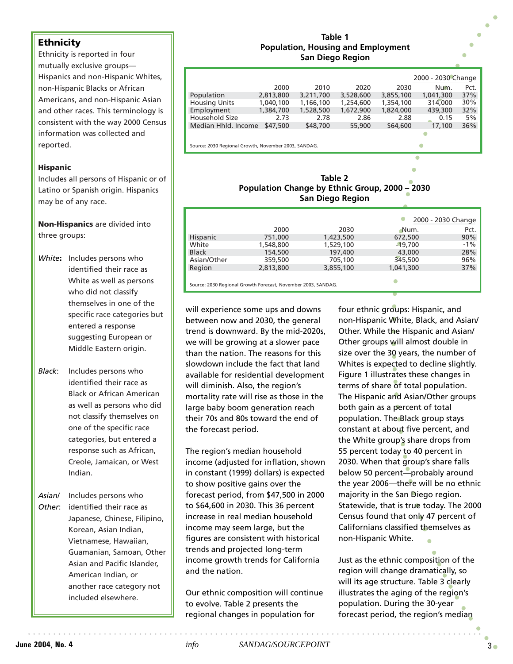#### **Ethnicity**

Ethnicity is reported in four mutually exclusive groups— Hispanics and non-Hispanic Whites, non-Hispanic Blacks or African Americans, and non-Hispanic Asian and other races. This terminology is consistent with the way 2000 Census information was collected and reported.

#### **Hispanic**

Includes all persons of Hispanic or of Latino or Spanish origin. Hispanics may be of any race.

**Non-Hispanics** are divided into three groups:

- *White***:** Includes persons who identified their race as White as well as persons who did not classify themselves in one of the specific race categories but entered a response suggesting European or Middle Eastern origin.
- *Black*: Includes persons who identified their race as Black or African American as well as persons who did not classify themselves on one of the specific race categories, but entered a response such as African, Creole, Jamaican, or West Indian.
- *Asian/* Includes persons who Other: identified their race as Japanese, Chinese, Filipino, Korean, Asian Indian, Vietnamese, Hawaiian, Guamanian, Samoan, Other Asian and Pacific Islander, American Indian, or another race category not included elsewhere.

#### **Table 1 Population, Housing and Employment San Diego Region**

|                                                      |           |           |           |           | 2000 - 2030 Change |      |
|------------------------------------------------------|-----------|-----------|-----------|-----------|--------------------|------|
|                                                      | 2000      | 2010      | 2020      | 2030      | Num.               | Pct. |
| Population                                           | 2,813,800 | 3,211,700 | 3,528,600 | 3,855,100 | 1,041,300          | 37%  |
| <b>Housing Units</b>                                 | 1,040,100 | 1,166,100 | 1,254,600 | 1,354,100 | 314,000            | 30%  |
| Employment                                           | 1,384,700 | 1,528,500 | 1,672,900 | 1,824,000 | 439,300            | 32%  |
| Household Size                                       | 2.73      | 2.78      | 2.86      | 2.88      | 0.15               | 5%   |
| Median Hhld. Income                                  | \$47,500  | \$48,700  | 55,900    | \$64,600  | 17,100             | 36%  |
|                                                      |           |           |           |           |                    |      |
| Source: 2030 Regional Growth, November 2003, SANDAG. |           |           |           |           |                    |      |

| Table 2                                        |  |
|------------------------------------------------|--|
| Population Change by Ethnic Group, 2000 - 2030 |  |
| <b>San Diego Region</b>                        |  |

|              |           |           |           | 2000 - 2030 Change |
|--------------|-----------|-----------|-----------|--------------------|
|              | 2000      | 2030      | Num.      | Pct.               |
| Hispanic     | 751,000   | 1,423,500 | 672,500   | 90%                |
| White        | 1,548,800 | 1,529,100 | $-19,700$ | $-1%$              |
| <b>Black</b> | 154,500   | 197,400   | 43,000    | 28%                |
| Asian/Other  | 359,500   | 705,100   | 345,500   | 96%                |
| Region       | 2,813,800 | 3,855,100 | 1,041,300 | 37%                |
|              |           |           |           |                    |

Source: 2030 Regional Growth Forecast, November 2003, SANDAG.

will experience some ups and downs between now and 2030, the general trend is downward. By the mid-2020s, we will be growing at a slower pace than the nation. The reasons for this slowdown include the fact that land available for residential development will diminish. Also, the region's mortality rate will rise as those in the large baby boom generation reach their 70s and 80s toward the end of the forecast period.

The region's median household income (adjusted for inflation, shown in constant (1999) dollars) is expected to show positive gains over the forecast period, from \$47,500 in 2000 to \$64,600 in 2030. This 36 percent increase in real median household income may seem large, but the figures are consistent with historical trends and projected long-term income growth trends for California and the nation.

Our ethnic composition will continue to evolve. Table 2 presents the regional changes in population for

four ethnic groups: Hispanic, and non-Hispanic White, Black, and Asian/ Other. While the Hispanic and Asian/ Other groups will almost double in size over the 30 years, the number of Whites is expected to decline slightly. Figure 1 illustrates these changes in terms of share of total population. The Hispanic and Asian/Other groups both gain as a percent of total population. The Black group stays constant at about five percent, and the White group's share drops from 55 percent today to 40 percent in 2030. When that group's share falls below 50 percent—probably around the year 2006—there will be no ethnic majority in the San Diego region. Statewide, that is true today. The 2000 Census found that only 47 percent of Californians classified themselves as non-Hispanic White.

ò

Just as the ethnic composition of the region will change dramatically, so will its age structure. Table 3 clearly illustrates the aging of the region's population. During the 30-year forecast period, the region's median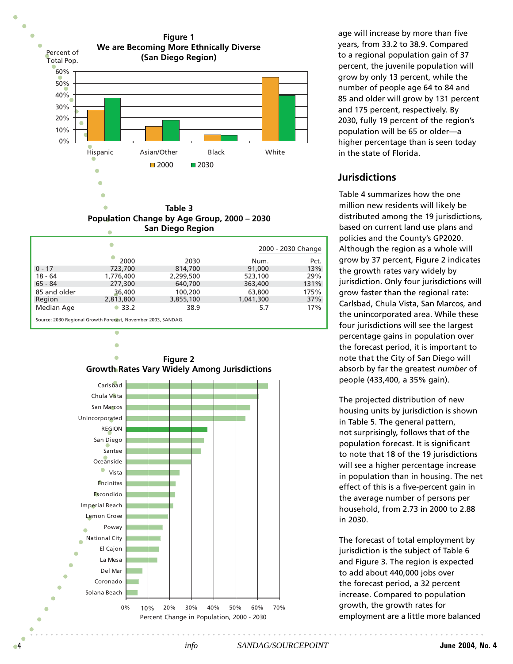

**Population Change by Age Group, 2000 – 2030 San Diego Region**

|              |           |           |           | 2000 - 2030 Change |
|--------------|-----------|-----------|-----------|--------------------|
|              | 2000      | 2030      | Num.      | Pct.               |
| $0 - 17$     | 723,700   | 814,700   | 91,000    | 13%                |
| $18 - 64$    | 1,776,400 | 2,299,500 | 523,100   | 29%                |
| $65 - 84$    | 277,300   | 640,700   | 363,400   | 131%               |
| 85 and older | 36,400    | 100,200   | 63,800    | 175%               |
| Region       | 2,813,800 | 3,855,100 | 1,041,300 | 37%                |
| Median Age   | 33.2      | 38.9      | 5.7       | 17%                |

Source: 2030 Regional Growth Forecast, November 2003, SANDAG.



age will increase by more than five years, from 33.2 to 38.9. Compared to a regional population gain of 37 percent, the juvenile population will grow by only 13 percent, while the number of people age 64 to 84 and 85 and older will grow by 131 percent and 175 percent, respectively. By 2030, fully 19 percent of the region's population will be 65 or older—a higher percentage than is seen today in the state of Florida.

#### **Jurisdictions**

Table 4 summarizes how the one million new residents will likely be distributed among the 19 jurisdictions, based on current land use plans and policies and the County's GP2020. Although the region as a whole will grow by 37 percent, Figure 2 indicates the growth rates vary widely by jurisdiction. Only four jurisdictions will grow faster than the regional rate: Carlsbad, Chula Vista, San Marcos, and the unincorporated area. While these four jurisdictions will see the largest percentage gains in population over the forecast period, it is important to note that the City of San Diego will absorb by far the greatest *number* of people (433,400, a 35% gain).

The projected distribution of new housing units by jurisdiction is shown in Table 5. The general pattern, not surprisingly, follows that of the population forecast. It is significant to note that 18 of the 19 jurisdictions will see a higher percentage increase in population than in housing. The net effect of this is a five-percent gain in the average number of persons per household, from 2.73 in 2000 to 2.88 in 2030.

The forecast of total employment by jurisdiction is the subject of Table 6 and Figure 3. The region is expected to add about 440,000 jobs over the forecast period, a 32 percent increase. Compared to population growth, the growth rates for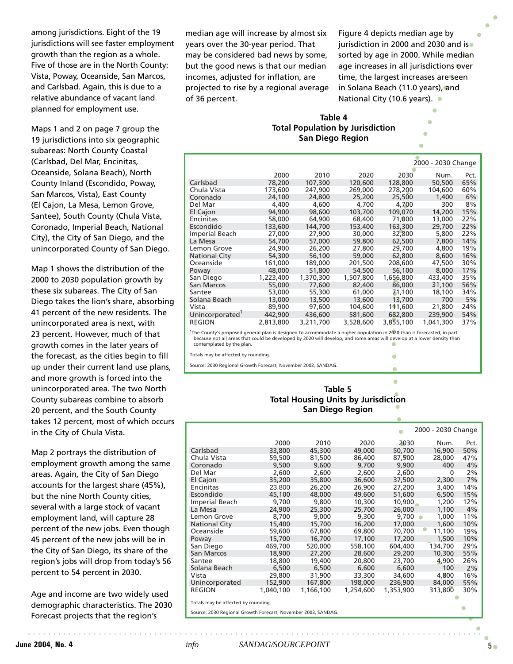among jurisdictions. Eight of the 19 jurisdictions will see faster employment growth than the region as a whole. Five of those are in the North County: Vista, Poway, Oceanside, San Marcos, and Carlsbad. Again, this is due to a relative abundance of vacant land planned for employment use.

Maps 1 and 2 on page 7 group the 19 jurisdictions into six geographic subareas: North County Coastal (Carlsbad, Del Mar, Encinitas, Oceanside, Solana Beach), North County Inland (Escondido, Poway, San Marcos, Vista), East County (El Cajon, La Mesa, Lemon Grove, Santee), South County (Chula Vista, Coronado, Imperial Beach, National City), the City of San Diego, and the unincorporated County of San Diego.

Map 1 shows the distribution of the 2000 to 2030 population growth by these six subareas. The City of San Diego takes the lion's share, absorbing 41 percent of the new residents. The unincorporated area is next, with 23 percent. However, much of that growth comes in the later years of the forecast, as the cities begin to fill up under their current land use plans, and more growth is forced into the unincorporated area. The two North County subareas combine to absorb 20 percent, and the South County takes 12 percent, most of which occurs in the City of Chula Vista.

Map 2 portrays the distribution of employment growth among the same areas. Again, the City of San Diego accounts for the largest share (45%), but the nine North County cities, several with a large stock of vacant employment land, will capture 28 percent of the new jobs. Even though 45 percent of the new jobs will be in the City of San Diego, its share of the region's jobs will drop from today's 56 percent to 54 percent in 2030.

Age and income are two widely used demographic characteristics. The 2030 Forecast projects that the region's

median age will increase by almost six years over the 30-year period. That may be considered bad news by some, but the good news is that our median incomes, adjusted for inflation, are projected to rise by a regional average of 36 percent.

Figure 4 depicts median age by jurisdiction in 2000 and 2030 and is sorted by age in 2000. While median age increases in all jurisdictions over time, the largest increases are seen in Solana Beach (11.0 years), and National City (10.6 years).

#### **Table 4 Total Population by Jurisdiction San Diego Region**

|                      |           |           |           |           | 2000 - 2030 Change |      |
|----------------------|-----------|-----------|-----------|-----------|--------------------|------|
|                      | 2000      | 2010      | 2020      | 2030      | Num.               | Pct. |
| Carlsbad             | 78,200    | 107,300   | 120,600   | 128,800   | 50,500             | 65%  |
| Chula Vista          | 173,600   | 247,900   | 269,000   | 278,200   | 104,600            | 60%  |
| Coronado             | 24,100    | 24,800    | 25,200    | 25,500    | 1,400              | 6%   |
| Del Mar              | 4,400     | 4,600     | 4.700     | 4.700     | 300                | 8%   |
| El Cajon             | 94,900    | 98,600    | 103,700   | 109,070   | 14,200             | 15%  |
| Encinitas            | 58,000    | 64,900    | 68,400    | 71,000    | 13,000             | 22%  |
| Escondido            | 133,600   | 144,700   | 153,400   | 163,300   | 29,700             | 22%  |
| Imperial Beach       | 27,000    | 27,900    | 30,000    | 32,800    | 5,800              | 22%  |
| La Mesa              | 54,700    | 57,000    | 59,800    | 62,500    | 7,800              | 14%  |
| Lemon Grove          | 24,900    | 26,200    | 27,800    | 29,700    | 4,800              | 19%  |
| <b>National City</b> | 54,300    | 56,100    | 59,000    | 62,800    | 8,600              | 16%  |
| Oceanside            | 161.000   | 189,000   | 201.500   | 208,600   | 47,500             | 30%  |
| Poway                | 48,000    | 51,800    | 54,500    | 56,100    | 8,000              | 17%  |
| San Diego            | 1,223,400 | 1,370,300 | 1,507,800 | 1,656,800 | 433,400            | 35%  |
| San Marcos           | 55,000    | 77,600    | 82,400    | 86,000    | 31,100             | 56%  |
| Santee               | 53,000    | 55,300    | 61,000    | 71,100    | 18,100             | 34%  |
| Solana Beach         | 13,000    | 13,500    | 13,600    | 13,700    | 700                | 5%   |
| Vista                | 89,900    | 97,600    | 104,600   | 111,600   | 21,800             | 24%  |
| Unincorporated       | 442,900   | 436,600   | 581.600   | 682,800   | 239,900            | 54%  |
| <b>REGION</b>        | 2,813,800 | 3,211,700 | 3,528,600 | 3,855,100 | 1,041,300          | 37%  |

1 The County's proposed general plan is designed to accommodate a higher population in 2020 than is forecasted, in part because not all areas that could be developed by 2020 will develop, and some areas will develop at a lower density than contemplated by the plan.

Totals may be affected by rounding.

Source: 2030 Regional Growth Forecast, November 2003, SANDAG.

#### **Table 5 Total Housing Units by Jurisdiction San Diego Region**

Ŏ ö  $\bullet$ 

|                                     |           |           |           |                    | 2000 - 2030 Change |      |
|-------------------------------------|-----------|-----------|-----------|--------------------|--------------------|------|
|                                     | 2000      | 2010      | 2020      | 2030               | Num.               | Pct. |
| Carlsbad                            | 33,800    | 45,300    | 49,000    | 50,700             | 16,900             | 50%  |
| Chula Vista                         | 59,500    | 81,500    | 86,400    | 87,500             | 28,000             | 47%  |
| Coronado                            | 9,500     | 9,600     | 9,700     | 9,900              | 400                | 4%   |
| Del Mar                             | 2,600     | 2,600     | 2.600     | 2,600              | $\Omega$           | 2%   |
| El Cajon                            | 35,200    | 35,800    | 36,600    | 37,500             | 2,300              | 7%   |
| Encinitas                           | 23.800    | 26,200    | 26,900    | 27,200             | 3,400              | 14%  |
| Escondido                           | 45,100    | 48,000    | 49,600    | 51,600             | 6,500              | 15%  |
| <b>Imperial Beach</b>               | 9.700     | 9,800     | 10,300    | $10,900 -$         | 1,200              | 12%  |
| La Mesa                             | 24,900    | 25,300    | 25,700    | 26,000             | 1,100              | 4%   |
| Lemon Grove                         | 8,700     | 9,000     | 9,300     | 9.700<br>$\bullet$ | 1.000              | 11%  |
| <b>National City</b>                | 15,400    | 15,700    | 16,200    | 17,000             | 1,600              | 10%  |
| Oceanside                           | 59,600    | 67,800    | 69,800    | 70,700             | 11,100             | 19%  |
| Poway                               | 15,700    | 16,700    | 17,100    | 17,200             | 1,500              | 10%  |
| San Diego                           | 469,700   | 520,000   | 558,100   | 604,400            | 134,700            | 29%  |
| San Marcos                          | 18,900    | 27,200    | 28,600    | 29,200             | 10,300             | 55%  |
| Santee                              | 18,800    | 19,400    | 20,800    | 23,700             | 4.900              | 26%  |
| Solana Beach                        | 6,500     | 6,500     | 6,600     | 6,600              | 100                | 2%   |
| Vista                               | 29,800    | 31,900    | 33,300    | 34,600             | 4,800              | 16%  |
| Unincorporated                      | 152,900   | 167,800   | 198,000   | 236,900            | 84,000             | 55%  |
| <b>REGION</b>                       | 1,040,100 | 1,166,100 | 1,254,600 | 1,353,900          | 313,800            | 30%  |
|                                     |           |           |           |                    |                    |      |
| Totals may be affected by rounding. |           |           |           |                    |                    |      |

Source: 2030 Regional Growth Forecast, November 2003, SANDAG.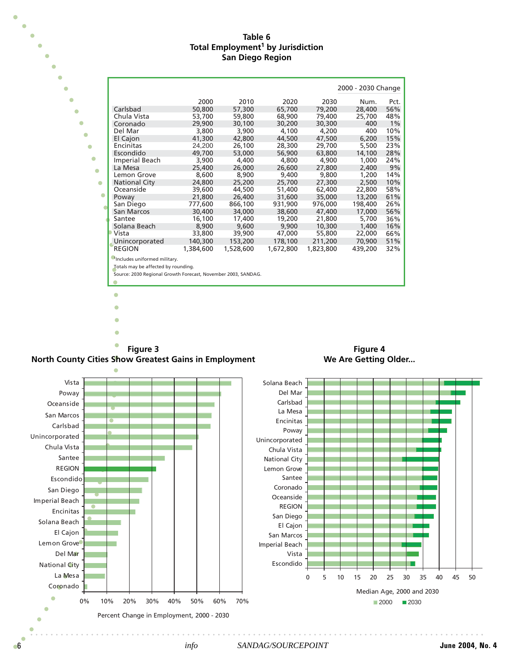#### **Table 6 Total Employment1 by Jurisdiction San Diego Region**

|           |                                                               |           |           |           |           | 2000 - 2030 Change |       |
|-----------|---------------------------------------------------------------|-----------|-----------|-----------|-----------|--------------------|-------|
|           |                                                               | 2000      | 2010      | 2020      | 2030      | Num.               | Pct.  |
|           | Carlsbad                                                      | 50,800    | 57,300    | 65,700    | 79,200    | 28,400             | 56%   |
|           | Chula Vista                                                   | 53,700    | 59,800    | 68,900    | 79,400    | 25,700             | 48%   |
|           | Coronado                                                      | 29,900    | 30,100    | 30,200    | 30,300    | 400                | $1\%$ |
|           | Del Mar                                                       | 3,800     | 3,900     | 4.100     | 4,200     | 400                | 10%   |
|           | El Cajon                                                      | 41,300    | 42,800    | 44,500    | 47,500    | 6,200              | 15%   |
|           | Encinitas                                                     | 24,200    | 26,100    | 28,300    | 29,700    | 5,500              | 23%   |
|           | Escondido                                                     | 49,700    | 53,000    | 56,900    | 63,800    | 14,100             | 28%   |
|           | Imperial Beach                                                | 3,900     | 4,400     | 4,800     | 4,900     | 1,000              | 24%   |
|           | La Mesa                                                       | 25,400    | 26,000    | 26,600    | 27,800    | 2,400              | 9%    |
|           | Lemon Grove                                                   | 8,600     | 8,900     | 9,400     | 9,800     | 1,200              | 14%   |
|           | <b>National City</b>                                          | 24,800    | 25,200    | 25,700    | 27,300    | 2,500              | 10%   |
|           | Oceanside                                                     | 39,600    | 44,500    | 51,400    | 62,400    | 22,800             | 58%   |
| $\bullet$ | Poway                                                         | 21,800    | 26,400    | 31,600    | 35,000    | 13,200             | 61%   |
|           | San Diego                                                     | 777,600   | 866,100   | 931,900   | 976,000   | 198,400            | 26%   |
|           | San Marcos                                                    | 30,400    | 34,000    | 38,600    | 47,400    | 17,000             | 56%   |
|           | Santee                                                        | 16,100    | 17,400    | 19,200    | 21,800    | 5,700              | 36%   |
|           | Solana Beach                                                  | 8,900     | 9,600     | 9.900     | 10,300    | 1,400              | 16%   |
|           | Vista                                                         | 33,800    | 39,900    | 47,000    | 55,800    | 22,000             | 66%   |
|           | Unincorporated                                                | 140,300   | 153,200   | 178,100   | 211,200   | 70,900             | 51%   |
|           | <b>REGION</b>                                                 | 1,384,600 | 1,528,600 | 1,672,800 | 1,823,800 | 439,200            | 32%   |
|           | Includes uniformed military.                                  |           |           |           |           |                    |       |
|           | Totals may be affected by rounding.                           |           |           |           |           |                    |       |
|           | Source: 2030 Regional Growth Forecast, November 2003, SANDAG. |           |           |           |           |                    |       |
|           |                                                               |           |           |           |           |                    |       |

 $\bullet$ **Figure 3**





**North County Cities Show Greatest Gains in Employment**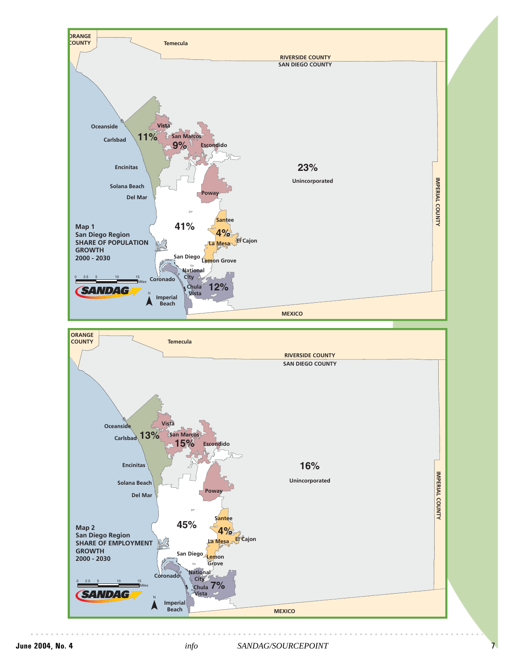